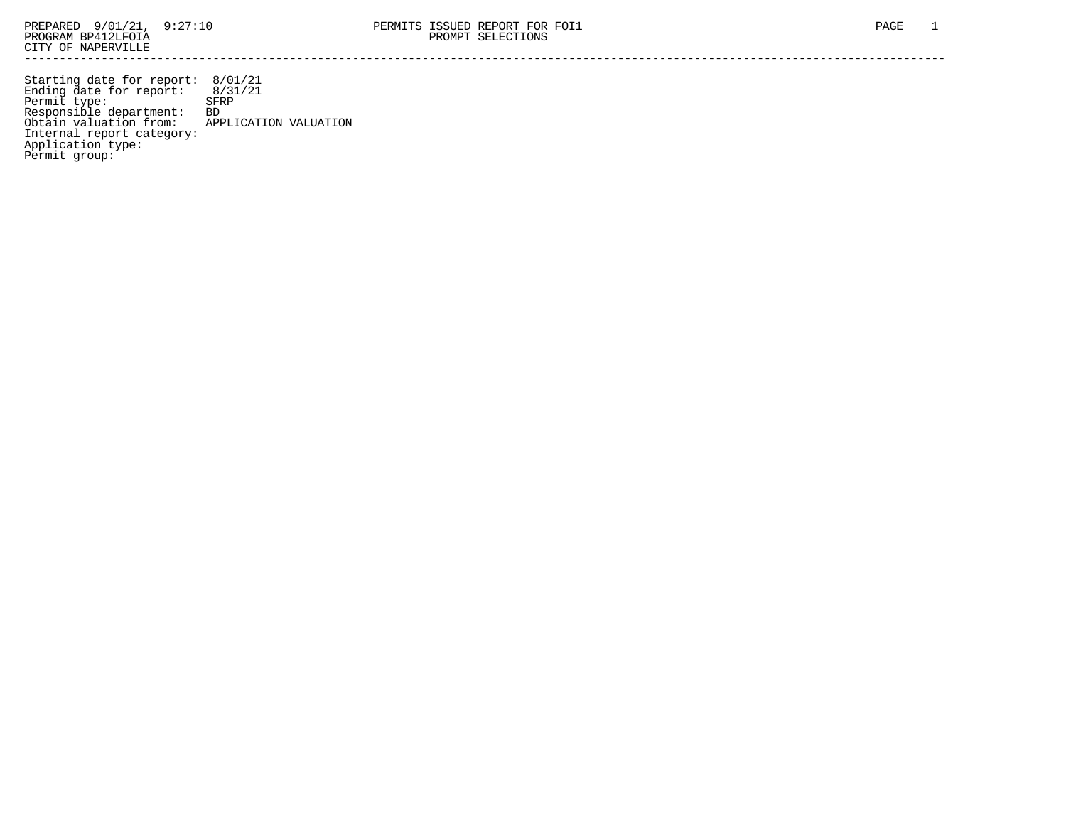Starting date for report: 8/01/21 Ending date for report: 8/31/21 Permit type: SFRP Responsible department: BD Obtain valuation from: APPLICATION VALUATION Internal report category: Application type: Permit group: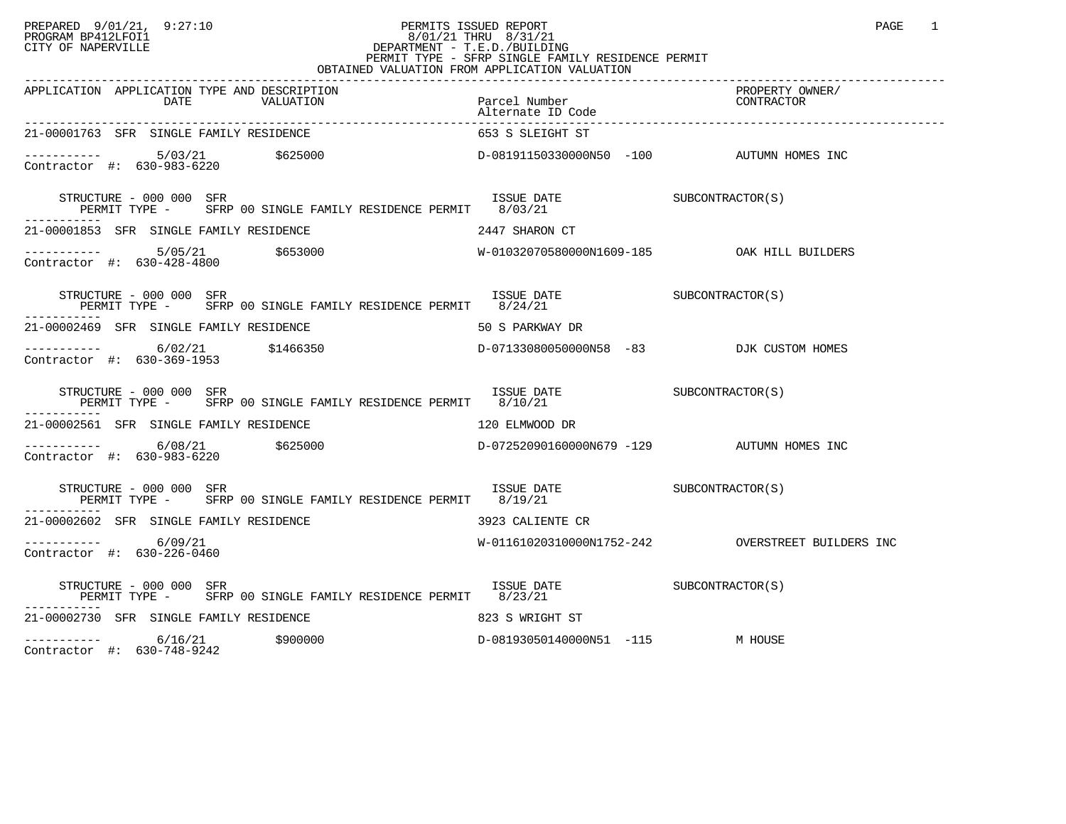## PREPARED 9/01/21, 9:27:10 PERMITS ISSUED REPORT PAGE 1 PROGRAM BP412LFOI1 8/01/21 THRU 8/31/21 CITY OF NAPERVILLE **Example 20** CITY OF NAPERVILLE CITY OF NAPERVILLE<br>
PERMIT TYPE - SFRP SINGLE FAMILY RESIDENCE PERMIT<br>
PERMIT TYPE - SFRP SINGLE FAMILY RESIDENCE PERMIT OBTAINED VALUATION FROM APPLICATION VALUATION

| APPLICATION APPLICATION TYPE AND DESCRIPTION<br>DATE VALUATION Parcel Number CONTRACTOR<br>Alternate ID Code Alternate ID Code Alternate ID Code Parcel Alternate ID Code                                                                                                                | Parcel Number                                                                                                         | PROPERTY OWNER/ |
|------------------------------------------------------------------------------------------------------------------------------------------------------------------------------------------------------------------------------------------------------------------------------------------|-----------------------------------------------------------------------------------------------------------------------|-----------------|
| 21-00001763 SFR SINGLE FAMILY RESIDENCE                                                                                                                                                                                                                                                  | 653 S SLEIGHT ST                                                                                                      |                 |
| $\begin{array}{cccccccc} - & & & & & 5/03/21 & & & 5625000 & & & & & \text{D}-08191150330000\text{N}50 & -100 & & & & \text{AUTUMN HOMES INC} \\ \text{Contractor} & #: & 630-983-6220 & & & & & & \text{D}-08191150330000\text{N}50 & -100 & & & & \text{AUTUMN HOMES INC} \end{array}$ |                                                                                                                       |                 |
| STRUCTURE - 000 000 SFR<br>PERMIT TYPE - SFRP 00 SINGLE FAMILY RESIDENCE PERMIT 8/03/21                                                                                                                                                                                                  | ISSUE DATE SUBCONTRACTOR(S)                                                                                           |                 |
| 21-00001853 SFR SINGLE FAMILY RESIDENCE<br>2447 SHARON CT                                                                                                                                                                                                                                |                                                                                                                       |                 |
| ----------- 5/05/21    \$653000    \$653000    \$653000    \$653000    \$653000    \$653000    \$653000    \$653000<br>Contractor #: 630-428-4800                                                                                                                                        |                                                                                                                       |                 |
| STRUCTURE - 000 000 SFR<br>PERMIT TYPE -       SFRP 00 SINGLE FAMILY RESIDENCE PERMIT       8/24/21                                                                                                                                                                                      | $\begin{array}{ll}\n \text{ISSUE} & \text{DATE} \\  \text{O}(24/21) & \text{SUBCONTRACTOR} \text{ (S)}\n \end{array}$ |                 |
| 21-00002469 SFR SINGLE FAMILY RESIDENCE THE SERIES OF SPARKWAY DR                                                                                                                                                                                                                        |                                                                                                                       |                 |
|                                                                                                                                                                                                                                                                                          |                                                                                                                       |                 |
| STRUCTURE - 000 000 SFR<br>PERMIT TYPE - SFRP 00 SINGLE FAMILY RESIDENCE PERMIT 8/10/21                                                                                                                                                                                                  | ISSUE DATE SUBCONTRACTOR(S)                                                                                           |                 |
| 21-00002561 SFR SINGLE FAMILY RESIDENCE THE SERIES OF THE SERIES OF REMWOOD DR                                                                                                                                                                                                           |                                                                                                                       |                 |
| $--------$ 6/08/21 \$625000<br>Contractor #: 630-983-6220                                                                                                                                                                                                                                | D-07252090160000N679 -129 AUTUMN HOMES INC                                                                            |                 |
| ISSUE DATE SUBCONTRACTOR(S)<br>STRUCTURE - 000 000 SFR<br>PERMIT TYPE - SFRP 00 SINGLE FAMILY RESIDENCE PERMIT 8/19/21                                                                                                                                                                   |                                                                                                                       |                 |
| 3923 CALIENTE CR<br>21-00002602 SFR SINGLE FAMILY RESIDENCE                                                                                                                                                                                                                              |                                                                                                                       |                 |
| $--------$ 6/09/21<br>Contractor #: 630-226-0460                                                                                                                                                                                                                                         |                                                                                                                       |                 |
| STRUCTURE - 000 000 SFR<br>PERMIT TYPE - SFRP 00 SINGLE FAMILY RESIDENCE PERMIT 8/23/21                                                                                                                                                                                                  | ISSUE DATE SUBCONTRACTOR(S)                                                                                           |                 |
| 21-00002730 SFR SINGLE FAMILY RESIDENCE                                                                                                                                                                                                                                                  | 823 S WRIGHT ST                                                                                                       |                 |
| \$900000<br>6/16/21                                                                                                                                                                                                                                                                      | D-08193050140000N51 -115 M HOUSE                                                                                      |                 |

Contractor #: 630-748-9242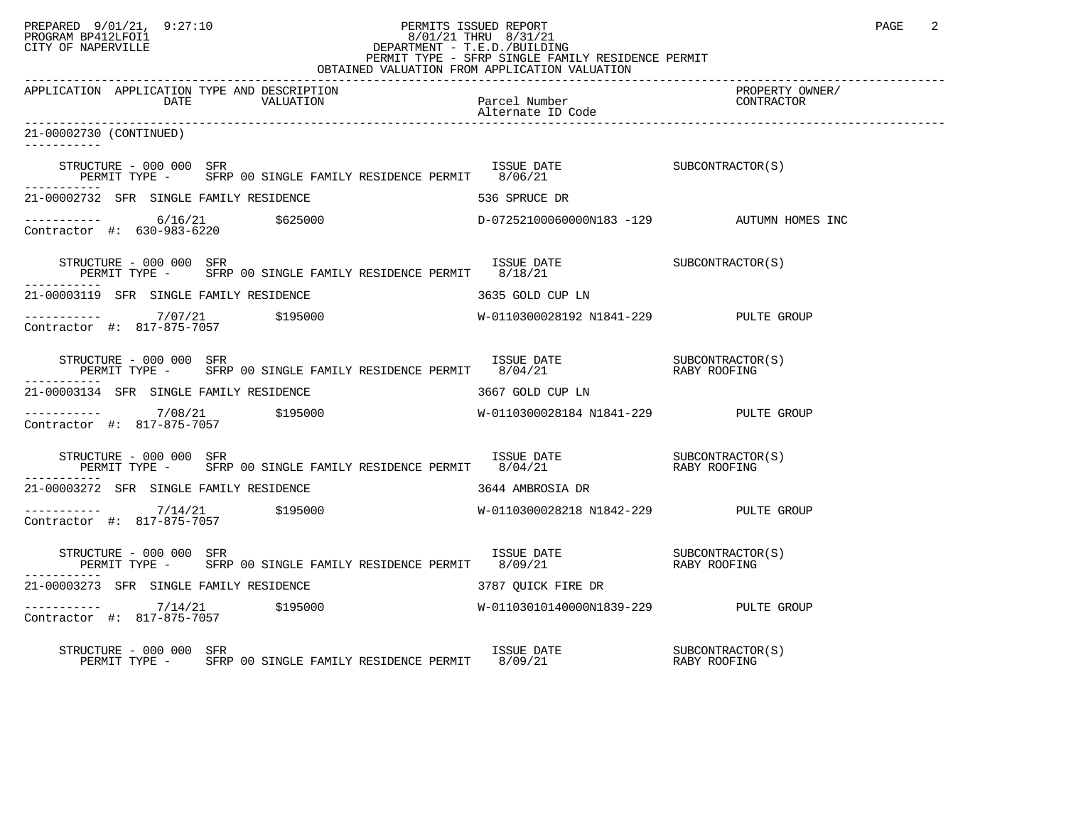## PREPARED 9/01/21, 9:27:10 PERMITS ISSUED REPORT PAGE 2 PROGRAM BP412LFOI1 8/01/21 THRU 8/31/21 CITY OF NAPERVILLE **Example 20** CITY OF NAPERVILLE PERMIT TYPE - SFRP SINGLE FAMILY RESIDENCE PERMIT

| OBTAINED VALUATION FROM APPLICATION VALUATION                                                                                                                                                                                                                                                                                                                                                                      |                    |                               |  |  |
|--------------------------------------------------------------------------------------------------------------------------------------------------------------------------------------------------------------------------------------------------------------------------------------------------------------------------------------------------------------------------------------------------------------------|--------------------|-------------------------------|--|--|
| APPLICATION APPLICATION TYPE AND DESCRIPTION                                                                                                                                                                                                                                                                                                                                                                       |                    | PROPERTY OWNER/<br>CONTRACTOR |  |  |
| 21-00002730 (CONTINUED)                                                                                                                                                                                                                                                                                                                                                                                            |                    |                               |  |  |
|                                                                                                                                                                                                                                                                                                                                                                                                                    |                    |                               |  |  |
| 21-00002732 SFR SINGLE FAMILY RESIDENCE                                                                                                                                                                                                                                                                                                                                                                            | 536 SPRUCE DR      |                               |  |  |
| $\begin{array}{cccccccc} - & & & & & 6/16/21 & & & 5625000 & & & & & \text{D}-072521000600000183 & -129 & & & & \text{AUTUMN HOMES INC} \end{array}$                                                                                                                                                                                                                                                               |                    |                               |  |  |
| $\begin{tabular}{lllllll} \texttt{STRUCTURE} & - & 000 & 000 & SFR & & & & & & & & \\ \texttt{STRUCTURE} & - & SFRP & 00 & SINGLE FAMILY RESIDENCE PERMIT & 8/18/21 & & & & & & & & \\ \texttt{PERMIT TYPE} & - & SFRP & 00 & SINGLE FAMILY RESIDENCE PERMIT & 8/18/21 & & & & & \\ \end{tabular}$                                                                                                                 |                    |                               |  |  |
| 21-00003119 SFR SINGLE FAMILY RESIDENCE                                                                                                                                                                                                                                                                                                                                                                            | 3635 GOLD CUP LN   |                               |  |  |
| $\begin{array}{cccccccc} - & & & & & & \mbox{~~} & & & \mbox{~~} & & \mbox{~~} & & \mbox{~~} & \mbox{~~} & \mbox{~~} & \mbox{~~} & \mbox{~~} & \mbox{~~} & \mbox{~~} & \mbox{~~} & \mbox{~~} & \mbox{~~} & \mbox{~~} & \mbox{~~} & \mbox{~~} & \mbox{~~} & \mbox{~~} & \mbox{~~} & \mbox{~~} & \mbox{~~} & \mbox{~~} & \mbox{~~} & \mbox{~~} & \mbox{~~} & \mbox{~~} & \mbox{~~} & \mbox{~~} & \mbox{~~$           |                    |                               |  |  |
| $\begin{array}{cccc} \texttt{STRUCTURE} & - & 000 & 000 & \texttt{SFR} \\ \texttt{PERMIT TYPE} & - & \texttt{SFRP} & 00 & \texttt{SINGLE FAMILY RESIDENCE PERMIT} & 8/04/21 & \texttt{RARY ROOFING} \end{array}$                                                                                                                                                                                                   |                    |                               |  |  |
| 21-00003134 SFR SINGLE FAMILY RESIDENCE                                                                                                                                                                                                                                                                                                                                                                            | 3667 GOLD CUP LN   |                               |  |  |
|                                                                                                                                                                                                                                                                                                                                                                                                                    |                    |                               |  |  |
| $\begin{array}{cccc} \texttt{STRUCTURE} & - & 000 & 000 & \texttt{SFR} \\ \texttt{PERMIT} & \texttt{TYPE} & - & \texttt{SFRP} & 00 & \texttt{SINGLE FAMILY RESIDENCE PERMIT} & 8/04/21 & \texttt{RASY ROOFING} \end{array}$                                                                                                                                                                                        |                    |                               |  |  |
| 21-00003272 SFR SINGLE FAMILY RESIDENCE                                                                                                                                                                                                                                                                                                                                                                            | 3644 AMBROSIA DR   |                               |  |  |
| $\begin{array}{cccccccc} - & & & & & & \mbox{~~} & & & \mbox{~~} & & \mbox{~~} & & \mbox{~~} & \mbox{~~} & \mbox{~~} & \mbox{~~} & \mbox{~~} & \mbox{~~} & \mbox{~~} & \mbox{~~} & \mbox{~~} & \mbox{~~} & \mbox{~~} & \mbox{~~} & \mbox{~~} & \mbox{~~} & \mbox{~~} & \mbox{~~} & \mbox{~~} & \mbox{~~} & \mbox{~~} & \mbox{~~} & \mbox{~~} & \mbox{~~} & \mbox{~~} & \mbox{~~} & \mbox{~~} & \mbox{~~$           |                    |                               |  |  |
| $\begin{array}{cccc} \texttt{STRUCTURE} & - & 000 & 000 & \texttt{SFR} \\ \texttt{PERMIT} & \texttt{TYPE} & - & \texttt{SFRP} & 00 & \texttt{SINGLE FAMILY} & \texttt{RESIDENCE PERMIT} & 8/09/21 & \texttt{RABY ROOFING} \end{array}$                                                                                                                                                                             |                    |                               |  |  |
| 21-00003273 SFR SINGLE FAMILY RESIDENCE                                                                                                                                                                                                                                                                                                                                                                            | 3787 OUICK FIRE DR |                               |  |  |
| $\begin{tabular}{lcccccc} \texttt{-----} & & & & & & & \\ \texttt{11111} & & & & & & \\ \texttt{1211} & & & & & & \\ \texttt{1312} & & & & & & \\ \texttt{14131} & & & & & & \\ \texttt{15131} & & & & & & \\ \texttt{16111} & & & & & & \\ \texttt{17141} & & & & & & \\ \texttt{1817} & & & & & & \\ \texttt{195000} & & & & & & \\ \texttt{195000} & & & & & & \\ \texttt{10111} & & & & & & \\ \texttt{10111}$ |                    |                               |  |  |
| RUCTURE – 000 000 SFR<br>PERMIT TYPE – SFRP 00 SINGLE FAMILY RESIDENCE PERMIT 8/09/21 – RABY ROOFING<br>STRUCTURE - 000 000 SFR                                                                                                                                                                                                                                                                                    |                    |                               |  |  |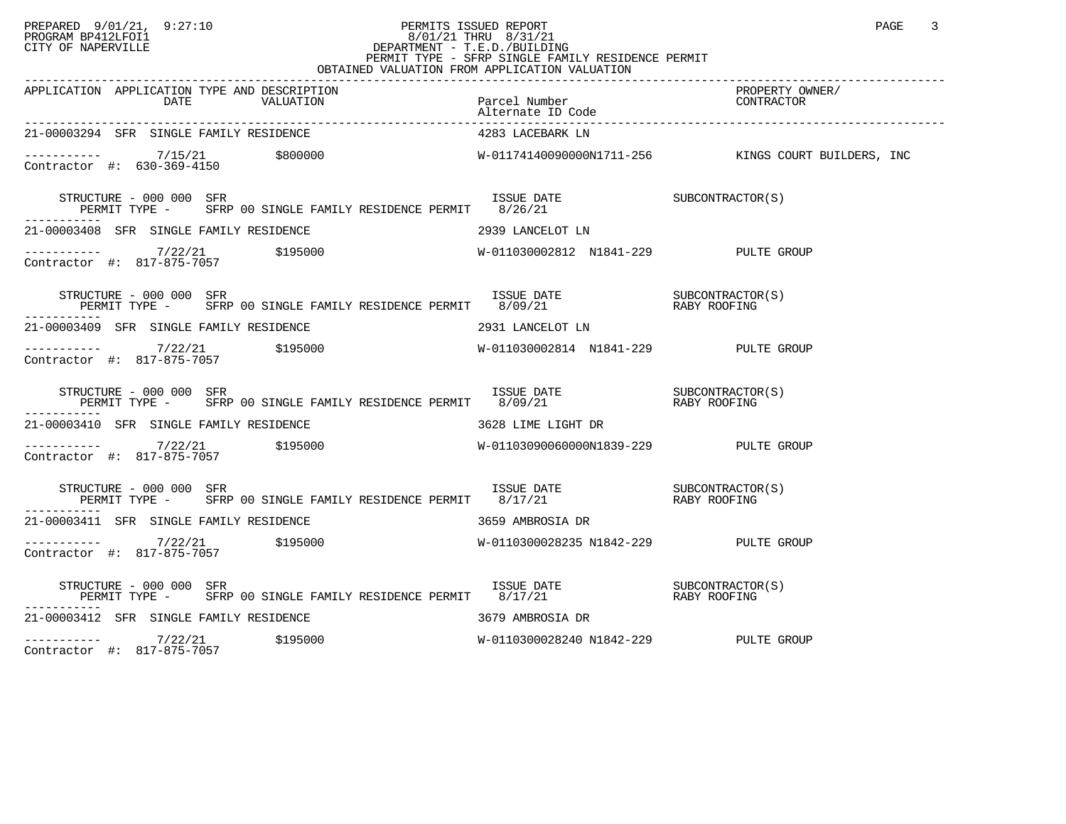## PREPARED 9/01/21, 9:27:10 PERMITS ISSUED REPORT PAGE 3 PROGRAM BP412LFOI1 8/01/21 THRU 8/31/21 CITY OF NAPERVILLE **Example 20** CITY OF NAPERVILLE CITY OF NAPERVILLE<br>
PERMIT TYPE - SFRP SINGLE FAMILY RESIDENCE PERMIT<br>
PERMIT TYPE - SFRP SINGLE FAMILY RESIDENCE PERMIT OBTAINED VALUATION FROM APPLICATION VALUATION

| APPLICATION APPLICATION TYPE AND DESCRIPTION                                                                                                                                                                                                                                                                                                                                                            |                                       |  |
|---------------------------------------------------------------------------------------------------------------------------------------------------------------------------------------------------------------------------------------------------------------------------------------------------------------------------------------------------------------------------------------------------------|---------------------------------------|--|
| 21-00003294 SFR SINGLE FAMILY RESIDENCE                                                                                                                                                                                                                                                                                                                                                                 | 4283 LACEBARK LN                      |  |
| ----------- 7/15/21 \$800000 \$800000 W-01174140090000N1711-256 KINGS COURT BUILDERS, INC<br>Contractor #: 630-369-4150                                                                                                                                                                                                                                                                                 |                                       |  |
|                                                                                                                                                                                                                                                                                                                                                                                                         |                                       |  |
| 21-00003408 SFR SINGLE FAMILY RESIDENCE THE SERIES OF 2939 LANCELOT LN                                                                                                                                                                                                                                                                                                                                  |                                       |  |
| $\begin{array}{cccccccc} - & & & & & \mbox{--} & & \mbox{--} & & \mbox{--} & \mbox{--} & \mbox{--} & \mbox{--} & \mbox{--} & \mbox{--} & \mbox{--} & \mbox{--} & \mbox{--} & \mbox{--} & \mbox{--} & \mbox{--} & \mbox{--} & \mbox{--} & \mbox{--} & \mbox{--} & \mbox{--} & \mbox{--} & \mbox{--} & \mbox{--} & \mbox{--} & \mbox{--} & \mbox{--} & \mbox{--} & \mbox{--} & \mbox{--} & \mbox{--} & \$ |                                       |  |
| STRUCTURE – 000 000 SFR<br>PERMIT TYPE – SFRP 00 SINGLE FAMILY RESIDENCE PERMIT 8/09/21 – RABY ROOFING                                                                                                                                                                                                                                                                                                  |                                       |  |
| 21-00003409 SFR SINGLE FAMILY RESIDENCE                                                                                                                                                                                                                                                                                                                                                                 | 2931 LANCELOT LN                      |  |
|                                                                                                                                                                                                                                                                                                                                                                                                         |                                       |  |
| $\begin{array}{cccccc} \texttt{STRUCTURE} & - & 000 & 000 & \texttt{SFR} & & & \\ \texttt{PERMIT} & \texttt{TPRE} & - & \texttt{SFRP} & 00 & \texttt{SINGLE FAMILY} & \texttt{RESIDENCE PERMIT} & 8/09/21 & & & \\ \texttt{PERMIT} & \texttt{TPRE} & - & \texttt{SFRP} & 00 & \texttt{SINGLE FAMILY} & \texttt{RESIDENCE PERMIT} & 8/09/21 & & & \\ \end{array}$<br>STRUCTURE - 000 000 SFR             |                                       |  |
| 21-00003410 SFR SINGLE FAMILY RESIDENCE THE SERIES OF 3628 LIME LIGHT DR                                                                                                                                                                                                                                                                                                                                |                                       |  |
|                                                                                                                                                                                                                                                                                                                                                                                                         |                                       |  |
| $\begin{tabular}{lllllll} \texttt{STRUCTURE} & - & 000 & 000 & SFR & \\ & & \texttt{SNE} & \texttt{DATE} & \\ & & \texttt{PERMIT} & \texttt{TYPE} & \\ & & & \texttt{RARY ROOFING} \end{tabular}$                                                                                                                                                                                                       |                                       |  |
| 21-00003411 SFR SINGLE FAMILY RESIDENCE THE STATE STATE 3659 AMBROSIA DR                                                                                                                                                                                                                                                                                                                                |                                       |  |
|                                                                                                                                                                                                                                                                                                                                                                                                         |                                       |  |
| STRUCTURE – 000 000 SFR<br>PERMIT TYPE – SFRP 00 SINGLE FAMILY RESIDENCE PERMIT 8/17/21 – RABY ROOFING                                                                                                                                                                                                                                                                                                  |                                       |  |
| 21-00003412 SFR SINGLE FAMILY RESIDENCE THE SERIES RESIDENCE 3679 AMBROSIA DR                                                                                                                                                                                                                                                                                                                           |                                       |  |
| ----------- 7/22/21 \$195000<br>Contractor #: 817-875-7057                                                                                                                                                                                                                                                                                                                                              | W-0110300028240 N1842-229 PULTE GROUP |  |